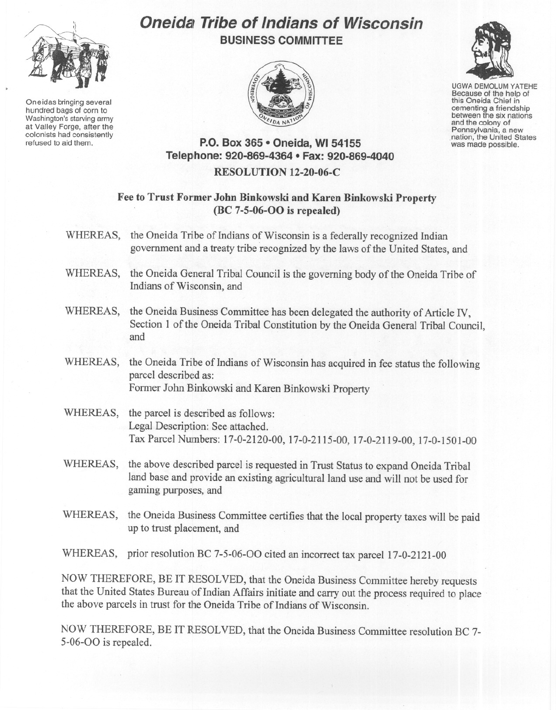

Oneidas bringing several hundred bags of corn to Washington's starving army at Valley Forge, after the refused to aid them.

# **Oneidal Tribe of Indians of Wisconsin BUSINESS COMMITTEE**



UGWA DEMOLUM YATEHE Because of the help of this Oneida Chief in between the six nations and the colony of<br>Pennsylvania, a new nation, the United States was made possible.

## **P.O. Box 365 • Oneida, WI 54155 Telephone: 920-869-4364 • Fax: 920-869-4040**

### **RESOLUTION 12-20-06-C**

#### **Fee to Trust Former John Binkowski and Karen Binkowski Property (BC 7-5-06-00 is repealed)**

- WHEREAS, the Oneida Tribe of Indians of Wisconsin is a federally recognized Indian government and a treaty tribe recognized by the laws of the United States, and
- WHEREAS, the Oneida General Tribal Council is the governing body of the Oneida Tribe of Indians of Wisconsin, and
- WHEREAS, the Oneida Business Committee has been delegated the authority of Article IV, Section 1 of the Oneida Tribal Constitution by the Oneida General Tribal Council, and
- WHEREAS, the Oneida Tribe of Indians of Wisconsin has acquired in fee status the following parcel described as: Former John Binkowski and Karen Binkowski Property
- WHEREAS, the parcel is described as follows: Legal Description: See attached. Tax Parcel Numbers: 17-0-2120-00, 17-0-2115-00, 17-0-2119-00, 17-0-1501-00
- WHEREAS, the above described parcel is requested in Trust Status to expand Oneida Tribal land base and provide an existing agricultural land use and will not be used for gaming purposes, and
- WHEREAS, the Oneida Business Committee certifies that the local property taxes will be paid up to trust placement, and

WHEREAS, prior resolution BC 7-5-06-00 cited an incorrect tax parcel 17-0-2121-00

NOW THEREFORE, BE IT RESOLVED, that the Oneida Business Committee hereby requests that the United States Bureau of Indian Affairs initiate and carry out the process required to place the above parcels in trust for the Oneida Tribe of Indians of Wisconsin.

NOW THEREFORE, BE IT RESOLVED, that the Oneida Business Committee resolution BC 7- 5-06-00 is repealed.